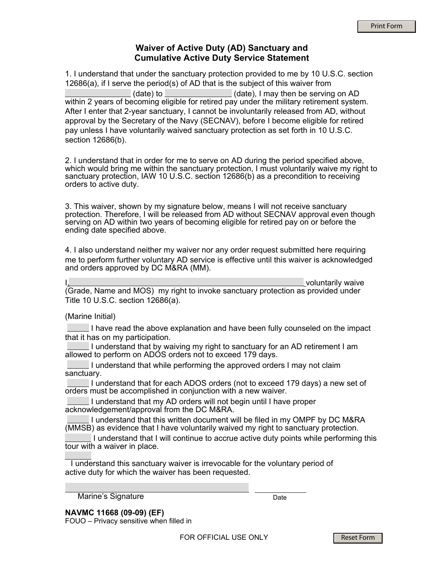## **Waiver of Active Duty (AD) Sanctuary and Cumulative Active Duty Service Statement**

1. I understand that under the sanctuary protection provided to me by 10 U.S.C. section 12686(a), if I serve the period(s) of AD that is the subject of this waiver from (date) to (date), I may then be serving on AD within 2 years of becoming eligible for retired pay under the military retirement system. After I enter that 2-year sanctuary, I cannot be involuntarily released from AD, without approval by the Secretary of the Navy (SECNAV), before I become eligible for retired pay unless I have voluntarily waived sanctuary protection as set forth in 10 U.S.C. section 12686(b).

2. I understand that in order for me to serve on AD during the period specified above, which would bring me within the sanctuary protection, I must voluntarily waive my right to sanctuary protection, IAW 10 U.S.C. section 12686(b) as a precondition to receiving orders to active duty.

3. This waiver, shown by my signature below, means I will not receive sanctuary protection. Therefore, I will be released from AD without SECNAV approval even though serving on AD within two years of becoming eligible for retired pay on or before the ending date specified above.

4. I also understand neither my waiver nor any order request submitted here requiring me to perform further voluntary AD service is effective until this waiver is acknowledged and orders approved by DC M&RA (MM).

I<u>, voluntarily</u> waive (Grade, Name and MOS) my right to invoke sanctuary protection as provided under Title 10 U.S.C. section 12686(a).

(Marine Initial)

I have read the above explanation and have been fully counseled on the impact that it has on my participation.

 I understand that by waiving my right to sanctuary for an AD retirement I am allowed to perform on ADOS orders not to exceed 179 days.

I understand that while performing the approved orders  $I$  may not claim sanctuary.

I understand that for each ADOS orders (not to exceed 179 days) a new set of orders must be accomplished in conjunction with a new waiver.

 I understand that my AD orders will not begin until I have proper acknowledgement/approval from the DC M&RA.

 I understand that this written document will be filed in my OMPF by DC M&RA (MMSB) as evidence that I have voluntarily waived my right to sanctuary protection.

 I understand that I will continue to accrue active duty points while performing this tour with a waiver in place.

 I understand this sanctuary waiver is irrevocable for the voluntary period of active duty for which the waiver has been requested.

Marine's Signature

Date

**NAVMC 11668 (09-09) (EF)** FOUO – Privacy sensitive when filled in

FOR OFFICIAL USE ONLY

Reset Form